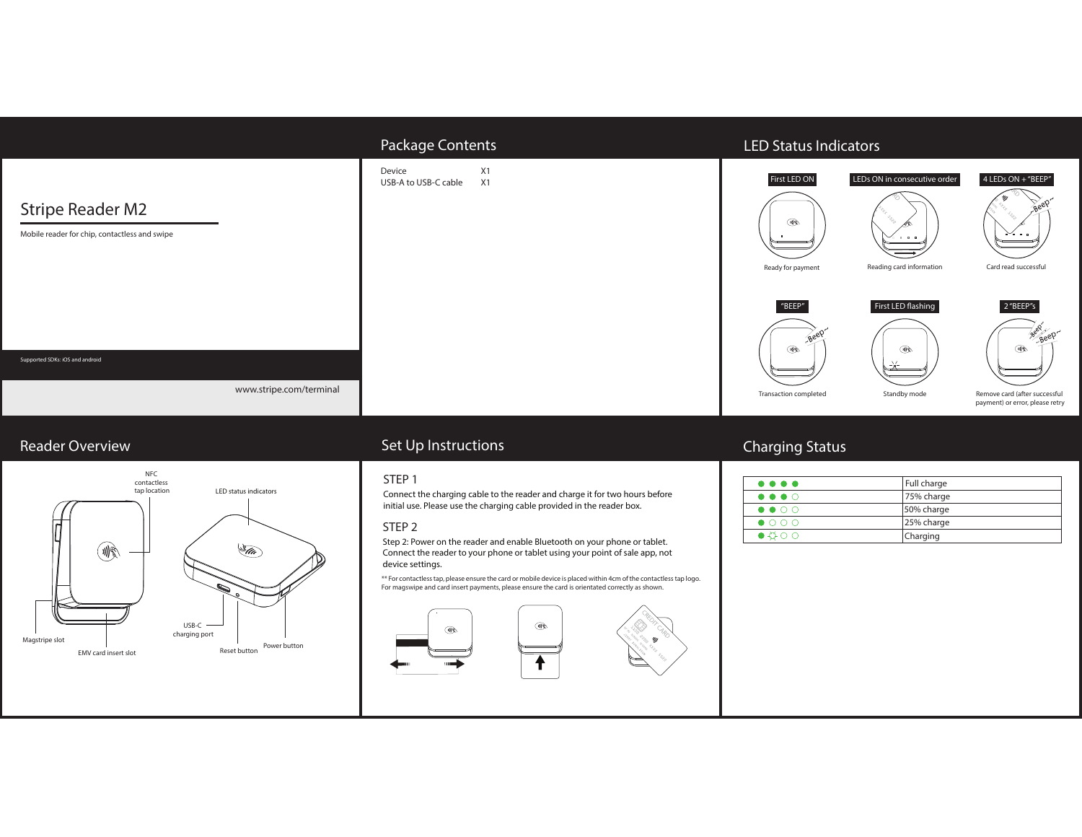|                                                                          | Package Contents                           | <b>LED Status Indicators</b>                                                                                                                                                                                                                       |
|--------------------------------------------------------------------------|--------------------------------------------|----------------------------------------------------------------------------------------------------------------------------------------------------------------------------------------------------------------------------------------------------|
| <b>Stripe Reader M2</b><br>Mobile reader for chip, contactless and swipe | Device<br>X1<br>USB-A to USB-C cable<br>X1 | First LED ON<br>LEDs ON in consecutive order<br>4 LEDs ON + "BEEP"<br>M<br>$a - a - a$<br>$\begin{array}{ccccccccccccccccc} \Box & \Box & \Box & \Box & \Box \end{array}$<br>Card read successful<br>Reading card information<br>Ready for payment |
| Supported SDKs: iOS and android                                          |                                            | 2"BEEP"s<br>"BEEP"<br>First LED flashing<br>Beep Beep<br>Beet<br>噘<br>W<br>্যা€<br>$\geq$                                                                                                                                                          |
| www.stripe.com/terminal                                                  |                                            | Remove card (after successful<br>Standby mode<br>Transaction completed<br>payment) or error, please retry                                                                                                                                          |

# Reader Overview



# Set Up Instructions

### STEP 1

Connect the charging cable to the reader and charge it for two hours before initial use. Please use the charging cable provided in the reader box.

#### STEP 2

Step 2: Power on the reader and enable Bluetooth on your phone or tablet. Connect the reader to your phone or tablet using your point of sale app, not device settings.

\*\* For contactless tap, please ensure the card or mobile device is placed within 4cm of the contactless tap logo. For magswipe and card insert payments, please ensure the card is orientated correctly as shown.





# Charging Status

| $\bullet\bullet\bullet\bullet$ | Full charge |
|--------------------------------|-------------|
| $\bullet\bullet\bullet\circ$   | 75% charge  |
| $\bullet\bullet\circ\circ$     | 50% charge  |
| $\bullet$ 000                  | 25% charge  |
| $\bullet$ $\circ$ $\circ$      | Charging    |